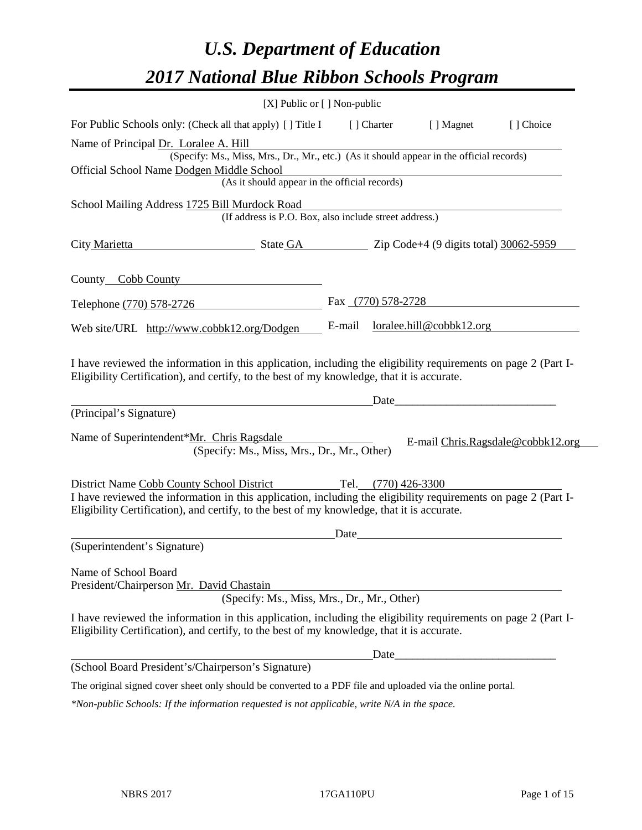# *U.S. Department of Education 2017 National Blue Ribbon Schools Program*

|                              | [X] Public or [] Non-public                                                                                                                                                                                                                               |        |                     |                          |                                   |
|------------------------------|-----------------------------------------------------------------------------------------------------------------------------------------------------------------------------------------------------------------------------------------------------------|--------|---------------------|--------------------------|-----------------------------------|
|                              | For Public Schools only: (Check all that apply) [ ] Title I                                                                                                                                                                                               |        | [ ] Charter         | [ ] Magnet               | [ ] Choice                        |
|                              | Name of Principal Dr. Loralee A. Hill                                                                                                                                                                                                                     |        |                     |                          |                                   |
|                              | (Specify: Ms., Miss, Mrs., Dr., Mr., etc.) (As it should appear in the official records)                                                                                                                                                                  |        |                     |                          |                                   |
|                              | Official School Name Dodgen Middle School                                                                                                                                                                                                                 |        |                     |                          |                                   |
|                              | (As it should appear in the official records)                                                                                                                                                                                                             |        |                     |                          |                                   |
|                              | School Mailing Address 1725 Bill Murdock Road<br>(If address is P.O. Box, also include street address.)                                                                                                                                                   |        |                     |                          |                                   |
| City Marietta                | $\frac{\text{State GA}}{\text{200} \times 10^{-11} \text{ C}}$ $\frac{\text{Cide}}{\text{400} \times 10^{-11} \text{ C}}$ $\frac{\text{Cide}}{\text{400} \times 10^{-11} \text{ C}}$ $\frac{\text{Cide}}{\text{400} \times 10^{-11} \text{ C}}$           |        |                     |                          |                                   |
| County_Cobb County           |                                                                                                                                                                                                                                                           |        |                     |                          |                                   |
| Telephone (770) 578-2726     |                                                                                                                                                                                                                                                           |        | Fax (770) 578-2728  |                          |                                   |
|                              | Web site/URL http://www.cobbk12.org/Dodgen                                                                                                                                                                                                                | E-mail |                     | loralee.hill@cobbk12.org |                                   |
| (Principal's Signature)      | I have reviewed the information in this application, including the eligibility requirements on page 2 (Part I-<br>Eligibility Certification), and certify, to the best of my knowledge, that it is accurate.                                              |        | Date                |                          |                                   |
|                              | Name of Superintendent*Mr. Chris Ragsdale<br>(Specify: Ms., Miss, Mrs., Dr., Mr., Other)                                                                                                                                                                  |        |                     |                          | E-mail Chris.Ragsdale@cobbk12.org |
|                              | District Name Cobb County School District<br>I have reviewed the information in this application, including the eligibility requirements on page 2 (Part I-<br>Eligibility Certification), and certify, to the best of my knowledge, that it is accurate. |        | Tel. (770) 426-3300 |                          |                                   |
|                              |                                                                                                                                                                                                                                                           | Date   |                     |                          |                                   |
| (Superintendent's Signature) |                                                                                                                                                                                                                                                           |        |                     |                          |                                   |
| Name of School Board         | President/Chairperson Mr. David Chastain<br>(Specify: Ms., Miss, Mrs., Dr., Mr., Other)                                                                                                                                                                   |        |                     |                          |                                   |
|                              | I have reviewed the information in this application, including the eligibility requirements on page 2 (Part I-<br>Eligibility Certification), and certify, to the best of my knowledge, that it is accurate.                                              |        |                     |                          |                                   |
|                              |                                                                                                                                                                                                                                                           |        | Date                |                          |                                   |
|                              | (School Board President's/Chairperson's Signature)                                                                                                                                                                                                        |        |                     |                          |                                   |
|                              | The original signed cover sheet only should be converted to a PDF file and uploaded via the online portal.                                                                                                                                                |        |                     |                          |                                   |
|                              |                                                                                                                                                                                                                                                           |        |                     |                          |                                   |

*\*Non-public Schools: If the information requested is not applicable, write N/A in the space.*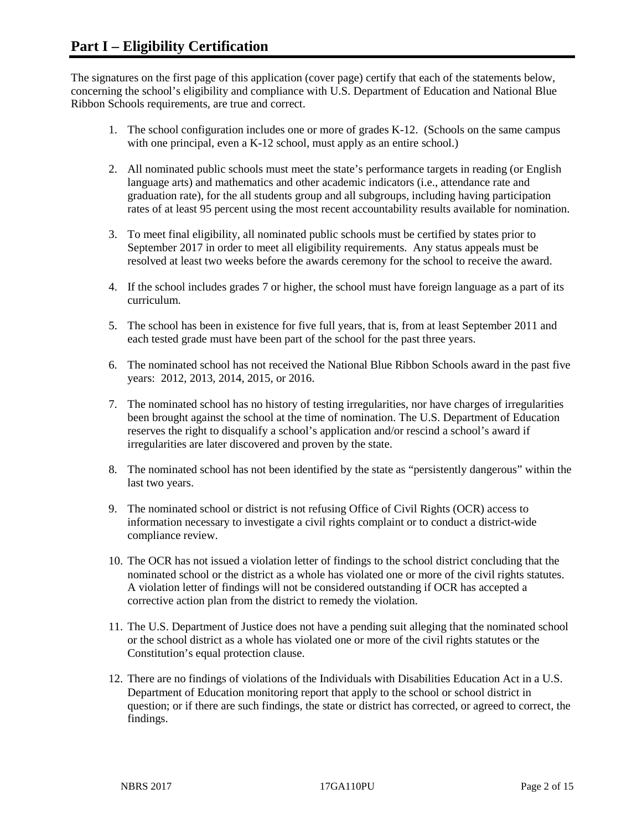The signatures on the first page of this application (cover page) certify that each of the statements below, concerning the school's eligibility and compliance with U.S. Department of Education and National Blue Ribbon Schools requirements, are true and correct.

- 1. The school configuration includes one or more of grades K-12. (Schools on the same campus with one principal, even a K-12 school, must apply as an entire school.)
- 2. All nominated public schools must meet the state's performance targets in reading (or English language arts) and mathematics and other academic indicators (i.e., attendance rate and graduation rate), for the all students group and all subgroups, including having participation rates of at least 95 percent using the most recent accountability results available for nomination.
- 3. To meet final eligibility, all nominated public schools must be certified by states prior to September 2017 in order to meet all eligibility requirements. Any status appeals must be resolved at least two weeks before the awards ceremony for the school to receive the award.
- 4. If the school includes grades 7 or higher, the school must have foreign language as a part of its curriculum.
- 5. The school has been in existence for five full years, that is, from at least September 2011 and each tested grade must have been part of the school for the past three years.
- 6. The nominated school has not received the National Blue Ribbon Schools award in the past five years: 2012, 2013, 2014, 2015, or 2016.
- 7. The nominated school has no history of testing irregularities, nor have charges of irregularities been brought against the school at the time of nomination. The U.S. Department of Education reserves the right to disqualify a school's application and/or rescind a school's award if irregularities are later discovered and proven by the state.
- 8. The nominated school has not been identified by the state as "persistently dangerous" within the last two years.
- 9. The nominated school or district is not refusing Office of Civil Rights (OCR) access to information necessary to investigate a civil rights complaint or to conduct a district-wide compliance review.
- 10. The OCR has not issued a violation letter of findings to the school district concluding that the nominated school or the district as a whole has violated one or more of the civil rights statutes. A violation letter of findings will not be considered outstanding if OCR has accepted a corrective action plan from the district to remedy the violation.
- 11. The U.S. Department of Justice does not have a pending suit alleging that the nominated school or the school district as a whole has violated one or more of the civil rights statutes or the Constitution's equal protection clause.
- 12. There are no findings of violations of the Individuals with Disabilities Education Act in a U.S. Department of Education monitoring report that apply to the school or school district in question; or if there are such findings, the state or district has corrected, or agreed to correct, the findings.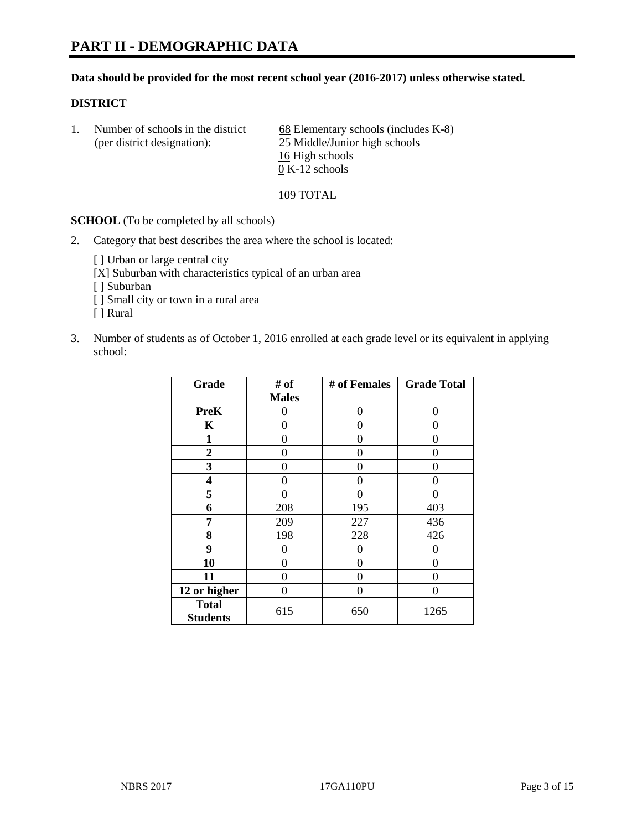# **PART II - DEMOGRAPHIC DATA**

#### **Data should be provided for the most recent school year (2016-2017) unless otherwise stated.**

#### **DISTRICT**

1. Number of schools in the district  $68$  Elementary schools (includes K-8) (per district designation): 25 Middle/Junior high schools 16 High schools 0 K-12 schools

109 TOTAL

**SCHOOL** (To be completed by all schools)

2. Category that best describes the area where the school is located:

[] Urban or large central city

[X] Suburban with characteristics typical of an urban area

[ ] Suburban

- [ ] Small city or town in a rural area
- [ ] Rural
- 3. Number of students as of October 1, 2016 enrolled at each grade level or its equivalent in applying school:

| Grade                           | # of         | # of Females | <b>Grade Total</b> |
|---------------------------------|--------------|--------------|--------------------|
|                                 | <b>Males</b> |              |                    |
| <b>PreK</b>                     | 0            | 0            | 0                  |
| K                               | 0            | 0            | 0                  |
| 1                               | 0            | 0            | 0                  |
| $\overline{2}$                  | 0            | 0            | $\mathbf{\Omega}$  |
| 3                               | 0            | 0            | 0                  |
| 4                               | 0            | 0            | $\mathbf{\Omega}$  |
| 5                               | 0            | 0            | 0                  |
| 6                               | 208          | 195          | 403                |
| 7                               | 209          | 227          | 436                |
| 8                               | 198          | 228          | 426                |
| 9                               | 0            | 0            | 0                  |
| 10                              | $\theta$     | 0            | $\Omega$           |
| 11                              | 0            | 0            | 0                  |
| 12 or higher                    | 0            | 0            | $\mathbf{\Omega}$  |
| <b>Total</b><br><b>Students</b> | 615          | 650          | 1265               |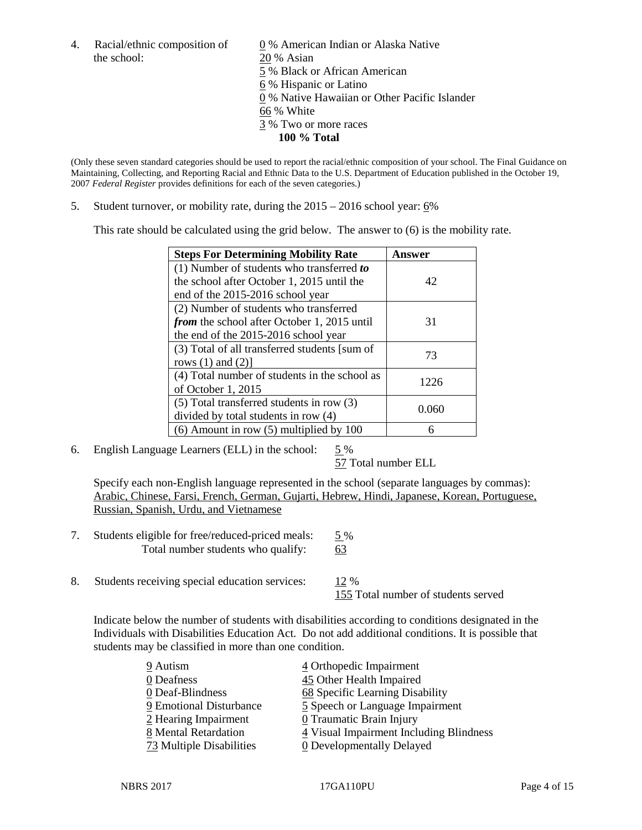the school: 20 % Asian

4. Racial/ethnic composition of  $\qquad \qquad \underline{0}$  % American Indian or Alaska Native 5 % Black or African American 6 % Hispanic or Latino 0 % Native Hawaiian or Other Pacific Islander 66 % White 3 % Two or more races **100 % Total**

(Only these seven standard categories should be used to report the racial/ethnic composition of your school. The Final Guidance on Maintaining, Collecting, and Reporting Racial and Ethnic Data to the U.S. Department of Education published in the October 19, 2007 *Federal Register* provides definitions for each of the seven categories.)

5. Student turnover, or mobility rate, during the 2015 – 2016 school year: 6%

This rate should be calculated using the grid below. The answer to (6) is the mobility rate.

| <b>Steps For Determining Mobility Rate</b>         | Answer |  |
|----------------------------------------------------|--------|--|
| (1) Number of students who transferred to          |        |  |
| the school after October 1, 2015 until the         | 42     |  |
| end of the 2015-2016 school year                   |        |  |
| (2) Number of students who transferred             |        |  |
| <i>from</i> the school after October 1, 2015 until | 31     |  |
| the end of the 2015-2016 school year               |        |  |
| (3) Total of all transferred students [sum of      | 73     |  |
| rows $(1)$ and $(2)$ ]                             |        |  |
| (4) Total number of students in the school as      | 1226   |  |
| of October 1, 2015                                 |        |  |
| $(5)$ Total transferred students in row $(3)$      | 0.060  |  |
| divided by total students in row (4)               |        |  |
| $(6)$ Amount in row $(5)$ multiplied by 100        | 6      |  |

6. English Language Learners (ELL) in the school:  $5\%$ 

57 Total number ELL

Specify each non-English language represented in the school (separate languages by commas): Arabic, Chinese, Farsi, French, German, Gujarti, Hebrew, Hindi, Japanese, Korean, Portuguese, Russian, Spanish, Urdu, and Vietnamese

- 7. Students eligible for free/reduced-priced meals: 5 % Total number students who qualify: 63
- 8. Students receiving special education services:  $12\%$ 155 Total number of students served

Indicate below the number of students with disabilities according to conditions designated in the Individuals with Disabilities Education Act. Do not add additional conditions. It is possible that students may be classified in more than one condition.

| 9 Autism                        | 4 Orthopedic Impairment                 |
|---------------------------------|-----------------------------------------|
| 0 Deafness                      | 45 Other Health Impaired                |
| 0 Deaf-Blindness                | 68 Specific Learning Disability         |
| 9 Emotional Disturbance         | 5 Speech or Language Impairment         |
| 2 Hearing Impairment            | 0 Traumatic Brain Injury                |
| 8 Mental Retardation            | 4 Visual Impairment Including Blindness |
| <b>73</b> Multiple Disabilities | <b>0</b> Developmentally Delayed        |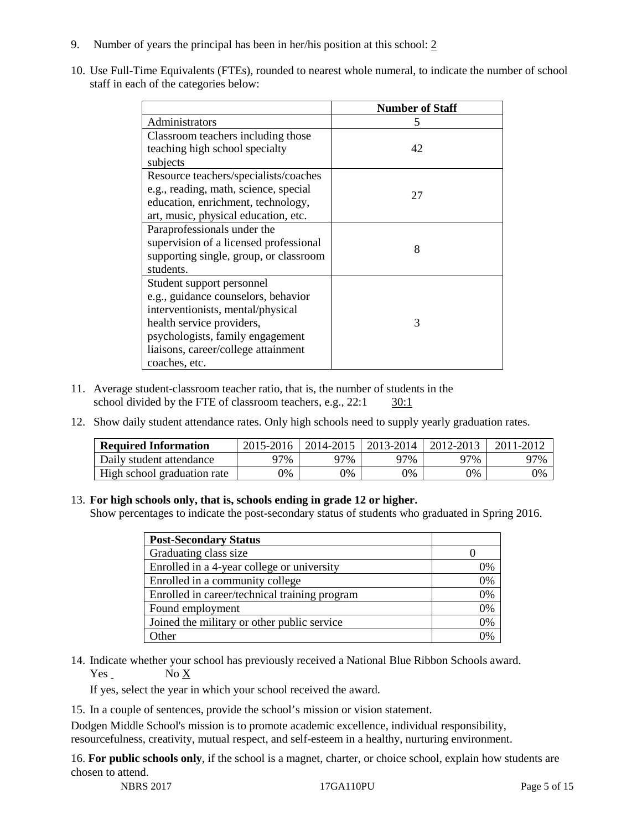- 9. Number of years the principal has been in her/his position at this school: 2
- 10. Use Full-Time Equivalents (FTEs), rounded to nearest whole numeral, to indicate the number of school staff in each of the categories below:

|                                        | <b>Number of Staff</b> |
|----------------------------------------|------------------------|
| Administrators                         | 5                      |
| Classroom teachers including those     |                        |
| teaching high school specialty         | 42                     |
| subjects                               |                        |
| Resource teachers/specialists/coaches  |                        |
| e.g., reading, math, science, special  | 27                     |
| education, enrichment, technology,     |                        |
| art, music, physical education, etc.   |                        |
| Paraprofessionals under the            |                        |
| supervision of a licensed professional | 8                      |
| supporting single, group, or classroom |                        |
| students.                              |                        |
| Student support personnel              |                        |
| e.g., guidance counselors, behavior    |                        |
| interventionists, mental/physical      |                        |
| health service providers,              | 3                      |
| psychologists, family engagement       |                        |
| liaisons, career/college attainment    |                        |
| coaches, etc.                          |                        |

- 11. Average student-classroom teacher ratio, that is, the number of students in the school divided by the FTE of classroom teachers, e.g., 22:1 30:1
- 12. Show daily student attendance rates. Only high schools need to supply yearly graduation rates.

| <b>Required Information</b> | 2015-2016 | 2014-2015 | 2013-2014 | 2012-2013 |     |
|-----------------------------|-----------|-----------|-----------|-----------|-----|
| Daily student attendance    | 97%       | 97%       | 97%       | ว7%       | 97% |
| High school graduation rate | 0%        | 0%        | 0%        | 9%        | 0%  |

## 13. **For high schools only, that is, schools ending in grade 12 or higher.**

Show percentages to indicate the post-secondary status of students who graduated in Spring 2016.

| <b>Post-Secondary Status</b>                  |    |
|-----------------------------------------------|----|
| Graduating class size                         |    |
| Enrolled in a 4-year college or university    | 0% |
| Enrolled in a community college               | 0% |
| Enrolled in career/technical training program | 0% |
| Found employment                              | 0% |
| Joined the military or other public service   | 0% |
| )ther                                         |    |

14. Indicate whether your school has previously received a National Blue Ribbon Schools award. Yes No X

If yes, select the year in which your school received the award.

15. In a couple of sentences, provide the school's mission or vision statement.

Dodgen Middle School's mission is to promote academic excellence, individual responsibility, resourcefulness, creativity, mutual respect, and self-esteem in a healthy, nurturing environment.

16. **For public schools only**, if the school is a magnet, charter, or choice school, explain how students are chosen to attend.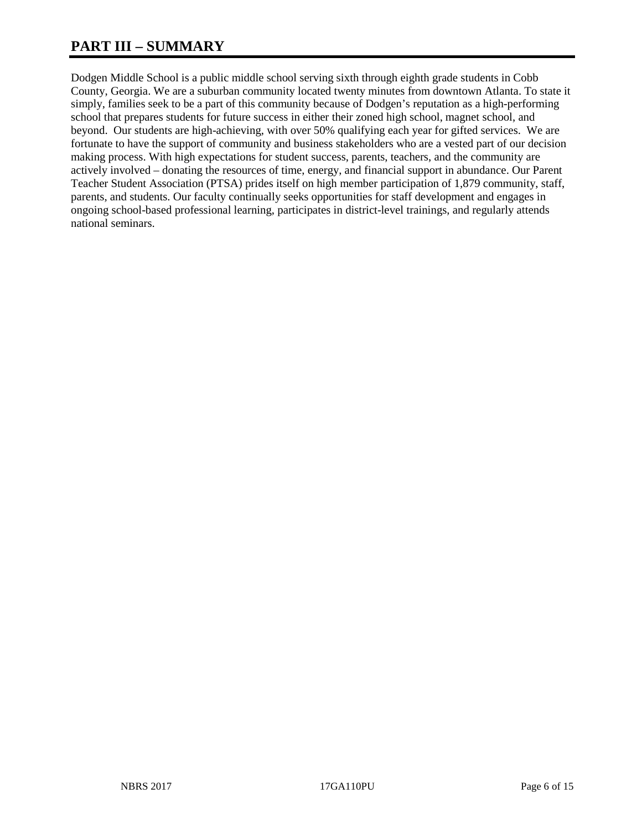# **PART III – SUMMARY**

Dodgen Middle School is a public middle school serving sixth through eighth grade students in Cobb County, Georgia. We are a suburban community located twenty minutes from downtown Atlanta. To state it simply, families seek to be a part of this community because of Dodgen's reputation as a high-performing school that prepares students for future success in either their zoned high school, magnet school, and beyond. Our students are high-achieving, with over 50% qualifying each year for gifted services. We are fortunate to have the support of community and business stakeholders who are a vested part of our decision making process. With high expectations for student success, parents, teachers, and the community are actively involved – donating the resources of time, energy, and financial support in abundance. Our Parent Teacher Student Association (PTSA) prides itself on high member participation of 1,879 community, staff, parents, and students. Our faculty continually seeks opportunities for staff development and engages in ongoing school-based professional learning, participates in district-level trainings, and regularly attends national seminars.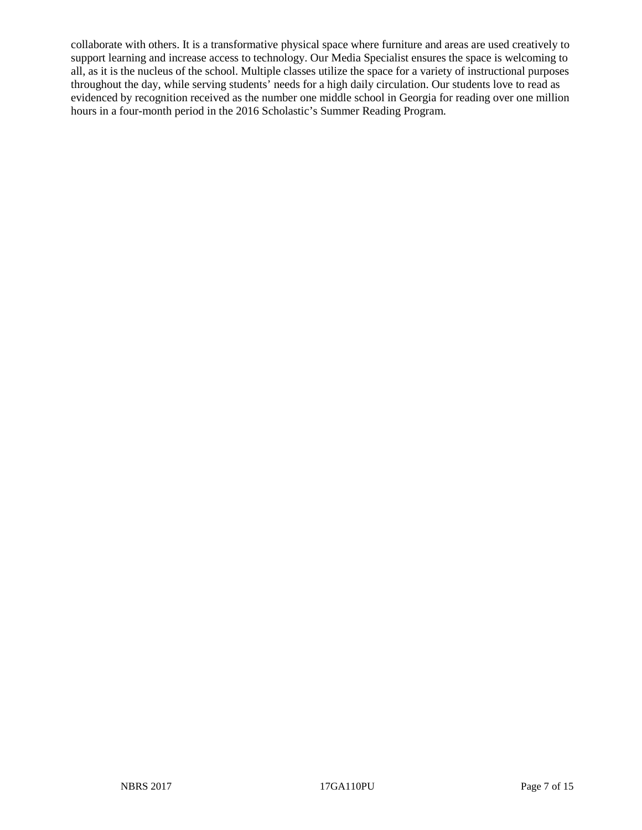collaborate with others. It is a transformative physical space where furniture and areas are used creatively to support learning and increase access to technology. Our Media Specialist ensures the space is welcoming to all, as it is the nucleus of the school. Multiple classes utilize the space for a variety of instructional purposes throughout the day, while serving students' needs for a high daily circulation. Our students love to read as evidenced by recognition received as the number one middle school in Georgia for reading over one million hours in a four-month period in the 2016 Scholastic's Summer Reading Program.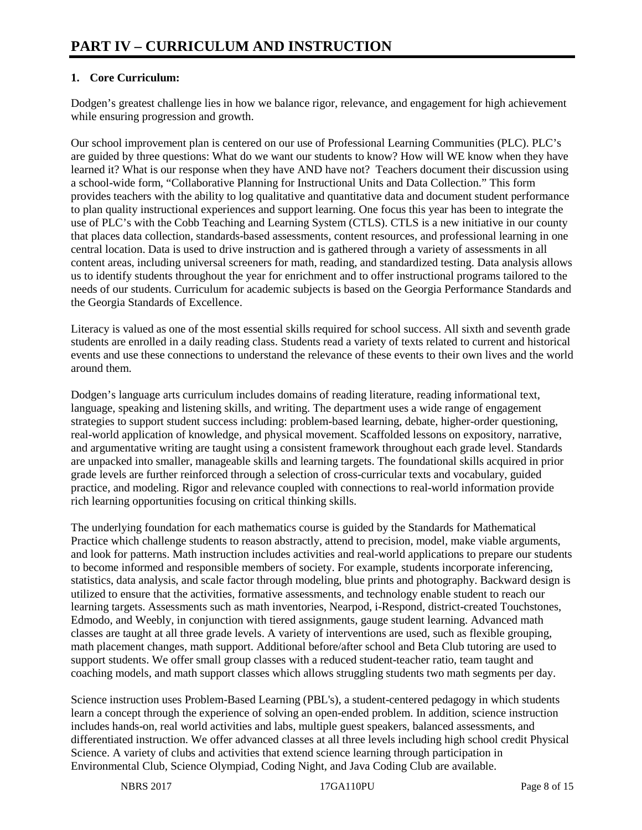# **1. Core Curriculum:**

Dodgen's greatest challenge lies in how we balance rigor, relevance, and engagement for high achievement while ensuring progression and growth.

Our school improvement plan is centered on our use of Professional Learning Communities (PLC). PLC's are guided by three questions: What do we want our students to know? How will WE know when they have learned it? What is our response when they have AND have not? Teachers document their discussion using a school-wide form, "Collaborative Planning for Instructional Units and Data Collection." This form provides teachers with the ability to log qualitative and quantitative data and document student performance to plan quality instructional experiences and support learning. One focus this year has been to integrate the use of PLC's with the Cobb Teaching and Learning System (CTLS). CTLS is a new initiative in our county that places data collection, standards-based assessments, content resources, and professional learning in one central location. Data is used to drive instruction and is gathered through a variety of assessments in all content areas, including universal screeners for math, reading, and standardized testing. Data analysis allows us to identify students throughout the year for enrichment and to offer instructional programs tailored to the needs of our students. Curriculum for academic subjects is based on the Georgia Performance Standards and the Georgia Standards of Excellence.

Literacy is valued as one of the most essential skills required for school success. All sixth and seventh grade students are enrolled in a daily reading class. Students read a variety of texts related to current and historical events and use these connections to understand the relevance of these events to their own lives and the world around them.

Dodgen's language arts curriculum includes domains of reading literature, reading informational text, language, speaking and listening skills, and writing. The department uses a wide range of engagement strategies to support student success including: problem-based learning, debate, higher-order questioning, real-world application of knowledge, and physical movement. Scaffolded lessons on expository, narrative, and argumentative writing are taught using a consistent framework throughout each grade level. Standards are unpacked into smaller, manageable skills and learning targets. The foundational skills acquired in prior grade levels are further reinforced through a selection of cross-curricular texts and vocabulary, guided practice, and modeling. Rigor and relevance coupled with connections to real-world information provide rich learning opportunities focusing on critical thinking skills.

The underlying foundation for each mathematics course is guided by the Standards for Mathematical Practice which challenge students to reason abstractly, attend to precision, model, make viable arguments, and look for patterns. Math instruction includes activities and real-world applications to prepare our students to become informed and responsible members of society. For example, students incorporate inferencing, statistics, data analysis, and scale factor through modeling, blue prints and photography. Backward design is utilized to ensure that the activities, formative assessments, and technology enable student to reach our learning targets. Assessments such as math inventories, Nearpod, i-Respond, district-created Touchstones, Edmodo, and Weebly, in conjunction with tiered assignments, gauge student learning. Advanced math classes are taught at all three grade levels. A variety of interventions are used, such as flexible grouping, math placement changes, math support. Additional before/after school and Beta Club tutoring are used to support students. We offer small group classes with a reduced student-teacher ratio, team taught and coaching models, and math support classes which allows struggling students two math segments per day.

Science instruction uses Problem-Based Learning (PBL's), a student-centered pedagogy in which students learn a concept through the experience of solving an open-ended problem. In addition, science instruction includes hands-on, real world activities and labs, multiple guest speakers, balanced assessments, and differentiated instruction. We offer advanced classes at all three levels including high school credit Physical Science. A variety of clubs and activities that extend science learning through participation in Environmental Club, Science Olympiad, Coding Night, and Java Coding Club are available.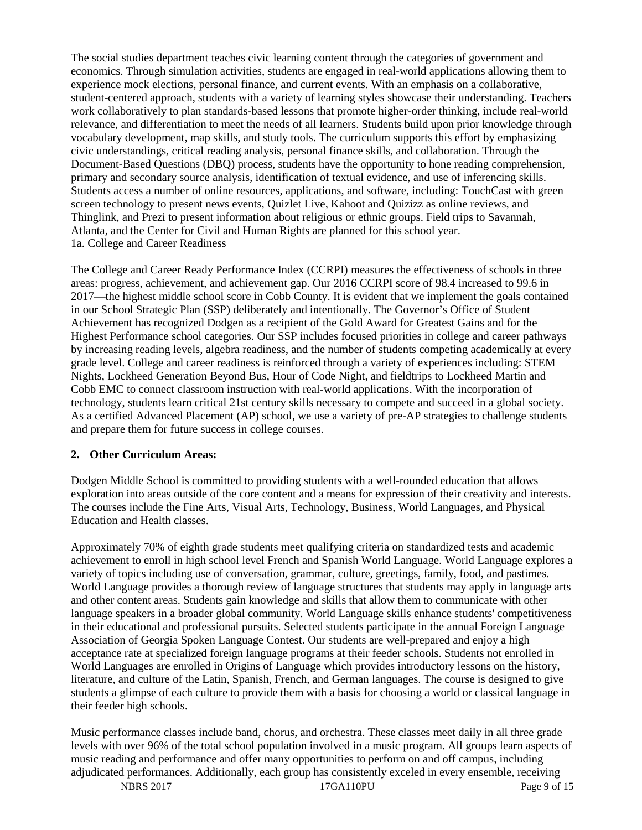The social studies department teaches civic learning content through the categories of government and economics. Through simulation activities, students are engaged in real-world applications allowing them to experience mock elections, personal finance, and current events. With an emphasis on a collaborative, student-centered approach, students with a variety of learning styles showcase their understanding. Teachers work collaboratively to plan standards-based lessons that promote higher-order thinking, include real-world relevance, and differentiation to meet the needs of all learners. Students build upon prior knowledge through vocabulary development, map skills, and study tools. The curriculum supports this effort by emphasizing civic understandings, critical reading analysis, personal finance skills, and collaboration. Through the Document-Based Questions (DBQ) process, students have the opportunity to hone reading comprehension, primary and secondary source analysis, identification of textual evidence, and use of inferencing skills. Students access a number of online resources, applications, and software, including: TouchCast with green screen technology to present news events, Quizlet Live, Kahoot and Quizizz as online reviews, and Thinglink, and Prezi to present information about religious or ethnic groups. Field trips to Savannah, Atlanta, and the Center for Civil and Human Rights are planned for this school year. 1a. College and Career Readiness

The College and Career Ready Performance Index (CCRPI) measures the effectiveness of schools in three areas: progress, achievement, and achievement gap. Our 2016 CCRPI score of 98.4 increased to 99.6 in 2017—the highest middle school score in Cobb County. It is evident that we implement the goals contained in our School Strategic Plan (SSP) deliberately and intentionally. The Governor's Office of Student Achievement has recognized Dodgen as a recipient of the Gold Award for Greatest Gains and for the Highest Performance school categories. Our SSP includes focused priorities in college and career pathways by increasing reading levels, algebra readiness, and the number of students competing academically at every grade level. College and career readiness is reinforced through a variety of experiences including: STEM Nights, Lockheed Generation Beyond Bus, Hour of Code Night, and fieldtrips to Lockheed Martin and Cobb EMC to connect classroom instruction with real-world applications. With the incorporation of technology, students learn critical 21st century skills necessary to compete and succeed in a global society. As a certified Advanced Placement (AP) school, we use a variety of pre-AP strategies to challenge students and prepare them for future success in college courses.

# **2. Other Curriculum Areas:**

Dodgen Middle School is committed to providing students with a well-rounded education that allows exploration into areas outside of the core content and a means for expression of their creativity and interests. The courses include the Fine Arts, Visual Arts, Technology, Business, World Languages, and Physical Education and Health classes.

Approximately 70% of eighth grade students meet qualifying criteria on standardized tests and academic achievement to enroll in high school level French and Spanish World Language. World Language explores a variety of topics including use of conversation, grammar, culture, greetings, family, food, and pastimes. World Language provides a thorough review of language structures that students may apply in language arts and other content areas. Students gain knowledge and skills that allow them to communicate with other language speakers in a broader global community. World Language skills enhance students' competitiveness in their educational and professional pursuits. Selected students participate in the annual Foreign Language Association of Georgia Spoken Language Contest. Our students are well-prepared and enjoy a high acceptance rate at specialized foreign language programs at their feeder schools. Students not enrolled in World Languages are enrolled in Origins of Language which provides introductory lessons on the history, literature, and culture of the Latin, Spanish, French, and German languages. The course is designed to give students a glimpse of each culture to provide them with a basis for choosing a world or classical language in their feeder high schools.

Music performance classes include band, chorus, and orchestra. These classes meet daily in all three grade levels with over 96% of the total school population involved in a music program. All groups learn aspects of music reading and performance and offer many opportunities to perform on and off campus, including adjudicated performances. Additionally, each group has consistently exceled in every ensemble, receiving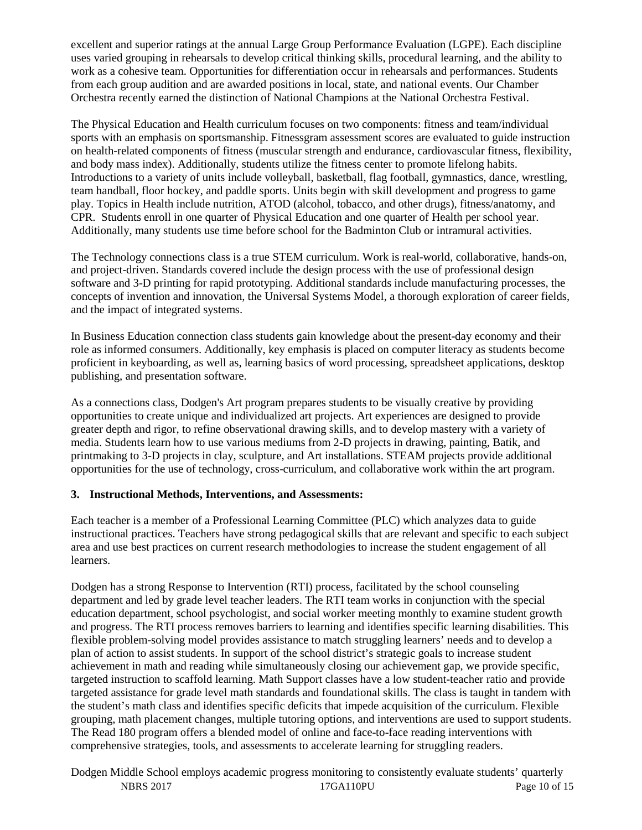excellent and superior ratings at the annual Large Group Performance Evaluation (LGPE). Each discipline uses varied grouping in rehearsals to develop critical thinking skills, procedural learning, and the ability to work as a cohesive team. Opportunities for differentiation occur in rehearsals and performances. Students from each group audition and are awarded positions in local, state, and national events. Our Chamber Orchestra recently earned the distinction of National Champions at the National Orchestra Festival.

The Physical Education and Health curriculum focuses on two components: fitness and team/individual sports with an emphasis on sportsmanship. Fitnessgram assessment scores are evaluated to guide instruction on health-related components of fitness (muscular strength and endurance, cardiovascular fitness, flexibility, and body mass index). Additionally, students utilize the fitness center to promote lifelong habits. Introductions to a variety of units include volleyball, basketball, flag football, gymnastics, dance, wrestling, team handball, floor hockey, and paddle sports. Units begin with skill development and progress to game play. Topics in Health include nutrition, ATOD (alcohol, tobacco, and other drugs), fitness/anatomy, and CPR. Students enroll in one quarter of Physical Education and one quarter of Health per school year. Additionally, many students use time before school for the Badminton Club or intramural activities.

The Technology connections class is a true STEM curriculum. Work is real-world, collaborative, hands-on, and project-driven. Standards covered include the design process with the use of professional design software and 3-D printing for rapid prototyping. Additional standards include manufacturing processes, the concepts of invention and innovation, the Universal Systems Model, a thorough exploration of career fields, and the impact of integrated systems.

In Business Education connection class students gain knowledge about the present-day economy and their role as informed consumers. Additionally, key emphasis is placed on computer literacy as students become proficient in keyboarding, as well as, learning basics of word processing, spreadsheet applications, desktop publishing, and presentation software.

As a connections class, Dodgen's Art program prepares students to be visually creative by providing opportunities to create unique and individualized art projects. Art experiences are designed to provide greater depth and rigor, to refine observational drawing skills, and to develop mastery with a variety of media. Students learn how to use various mediums from 2-D projects in drawing, painting, Batik, and printmaking to 3-D projects in clay, sculpture, and Art installations. STEAM projects provide additional opportunities for the use of technology, cross-curriculum, and collaborative work within the art program.

## **3. Instructional Methods, Interventions, and Assessments:**

Each teacher is a member of a Professional Learning Committee (PLC) which analyzes data to guide instructional practices. Teachers have strong pedagogical skills that are relevant and specific to each subject area and use best practices on current research methodologies to increase the student engagement of all learners.

Dodgen has a strong Response to Intervention (RTI) process, facilitated by the school counseling department and led by grade level teacher leaders. The RTI team works in conjunction with the special education department, school psychologist, and social worker meeting monthly to examine student growth and progress. The RTI process removes barriers to learning and identifies specific learning disabilities. This flexible problem-solving model provides assistance to match struggling learners' needs and to develop a plan of action to assist students. In support of the school district's strategic goals to increase student achievement in math and reading while simultaneously closing our achievement gap, we provide specific, targeted instruction to scaffold learning. Math Support classes have a low student-teacher ratio and provide targeted assistance for grade level math standards and foundational skills. The class is taught in tandem with the student's math class and identifies specific deficits that impede acquisition of the curriculum. Flexible grouping, math placement changes, multiple tutoring options, and interventions are used to support students. The Read 180 program offers a blended model of online and face-to-face reading interventions with comprehensive strategies, tools, and assessments to accelerate learning for struggling readers.

NBRS 2017 17GA110PU Page 10 of 15 Dodgen Middle School employs academic progress monitoring to consistently evaluate students' quarterly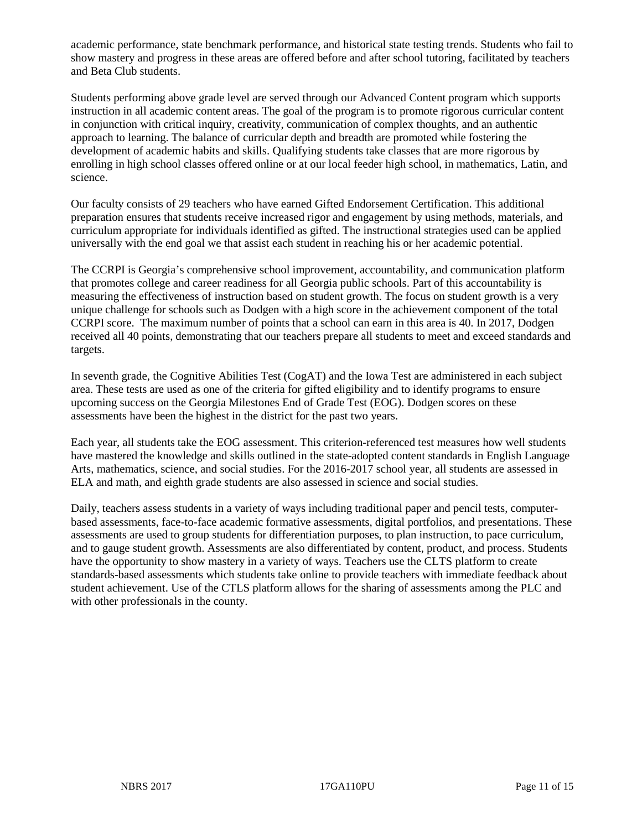academic performance, state benchmark performance, and historical state testing trends. Students who fail to show mastery and progress in these areas are offered before and after school tutoring, facilitated by teachers and Beta Club students.

Students performing above grade level are served through our Advanced Content program which supports instruction in all academic content areas. The goal of the program is to promote rigorous curricular content in conjunction with critical inquiry, creativity, communication of complex thoughts, and an authentic approach to learning. The balance of curricular depth and breadth are promoted while fostering the development of academic habits and skills. Qualifying students take classes that are more rigorous by enrolling in high school classes offered online or at our local feeder high school, in mathematics, Latin, and science.

Our faculty consists of 29 teachers who have earned Gifted Endorsement Certification. This additional preparation ensures that students receive increased rigor and engagement by using methods, materials, and curriculum appropriate for individuals identified as gifted. The instructional strategies used can be applied universally with the end goal we that assist each student in reaching his or her academic potential.

The CCRPI is Georgia's comprehensive school improvement, accountability, and communication platform that promotes college and career readiness for all Georgia public schools. Part of this accountability is measuring the effectiveness of instruction based on student growth. The focus on student growth is a very unique challenge for schools such as Dodgen with a high score in the achievement component of the total CCRPI score. The maximum number of points that a school can earn in this area is 40. In 2017, Dodgen received all 40 points, demonstrating that our teachers prepare all students to meet and exceed standards and targets.

In seventh grade, the Cognitive Abilities Test (CogAT) and the Iowa Test are administered in each subject area. These tests are used as one of the criteria for gifted eligibility and to identify programs to ensure upcoming success on the Georgia Milestones End of Grade Test (EOG). Dodgen scores on these assessments have been the highest in the district for the past two years.

Each year, all students take the EOG assessment. This criterion-referenced test measures how well students have mastered the knowledge and skills outlined in the state-adopted content standards in English Language Arts, mathematics, science, and social studies. For the 2016-2017 school year, all students are assessed in ELA and math, and eighth grade students are also assessed in science and social studies.

Daily, teachers assess students in a variety of ways including traditional paper and pencil tests, computerbased assessments, face-to-face academic formative assessments, digital portfolios, and presentations. These assessments are used to group students for differentiation purposes, to plan instruction, to pace curriculum, and to gauge student growth. Assessments are also differentiated by content, product, and process. Students have the opportunity to show mastery in a variety of ways. Teachers use the CLTS platform to create standards-based assessments which students take online to provide teachers with immediate feedback about student achievement. Use of the CTLS platform allows for the sharing of assessments among the PLC and with other professionals in the county.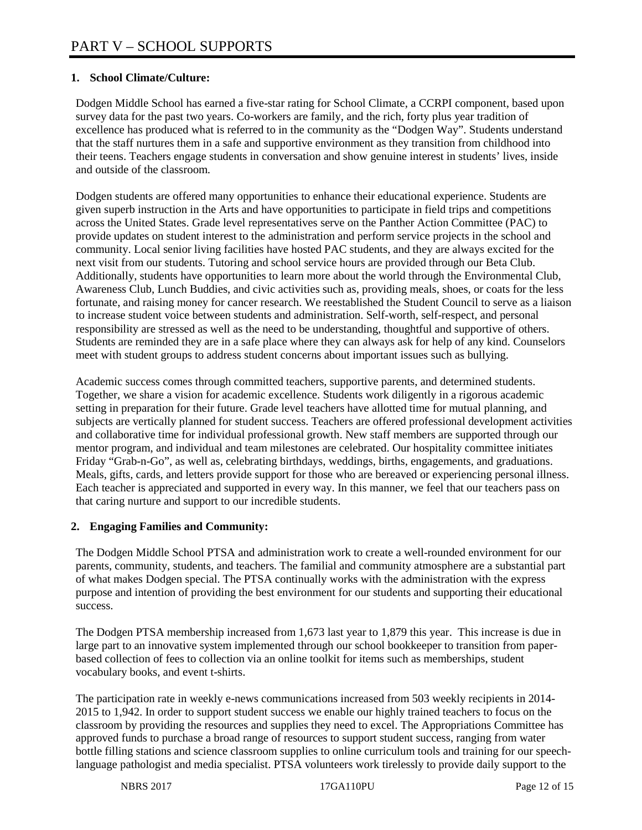# **1. School Climate/Culture:**

Dodgen Middle School has earned a five-star rating for School Climate, a CCRPI component, based upon survey data for the past two years. Co-workers are family, and the rich, forty plus year tradition of excellence has produced what is referred to in the community as the "Dodgen Way". Students understand that the staff nurtures them in a safe and supportive environment as they transition from childhood into their teens. Teachers engage students in conversation and show genuine interest in students' lives, inside and outside of the classroom.

Dodgen students are offered many opportunities to enhance their educational experience. Students are given superb instruction in the Arts and have opportunities to participate in field trips and competitions across the United States. Grade level representatives serve on the Panther Action Committee (PAC) to provide updates on student interest to the administration and perform service projects in the school and community. Local senior living facilities have hosted PAC students, and they are always excited for the next visit from our students. Tutoring and school service hours are provided through our Beta Club. Additionally, students have opportunities to learn more about the world through the Environmental Club, Awareness Club, Lunch Buddies, and civic activities such as, providing meals, shoes, or coats for the less fortunate, and raising money for cancer research. We reestablished the Student Council to serve as a liaison to increase student voice between students and administration. Self-worth, self-respect, and personal responsibility are stressed as well as the need to be understanding, thoughtful and supportive of others. Students are reminded they are in a safe place where they can always ask for help of any kind. Counselors meet with student groups to address student concerns about important issues such as bullying.

Academic success comes through committed teachers, supportive parents, and determined students. Together, we share a vision for academic excellence. Students work diligently in a rigorous academic setting in preparation for their future. Grade level teachers have allotted time for mutual planning, and subjects are vertically planned for student success. Teachers are offered professional development activities and collaborative time for individual professional growth. New staff members are supported through our mentor program, and individual and team milestones are celebrated. Our hospitality committee initiates Friday "Grab-n-Go", as well as, celebrating birthdays, weddings, births, engagements, and graduations. Meals, gifts, cards, and letters provide support for those who are bereaved or experiencing personal illness. Each teacher is appreciated and supported in every way. In this manner, we feel that our teachers pass on that caring nurture and support to our incredible students.

## **2. Engaging Families and Community:**

The Dodgen Middle School PTSA and administration work to create a well-rounded environment for our parents, community, students, and teachers. The familial and community atmosphere are a substantial part of what makes Dodgen special. The PTSA continually works with the administration with the express purpose and intention of providing the best environment for our students and supporting their educational success.

The Dodgen PTSA membership increased from 1,673 last year to 1,879 this year. This increase is due in large part to an innovative system implemented through our school bookkeeper to transition from paperbased collection of fees to collection via an online toolkit for items such as memberships, student vocabulary books, and event t-shirts.

The participation rate in weekly e-news communications increased from 503 weekly recipients in 2014- 2015 to 1,942. In order to support student success we enable our highly trained teachers to focus on the classroom by providing the resources and supplies they need to excel. The Appropriations Committee has approved funds to purchase a broad range of resources to support student success, ranging from water bottle filling stations and science classroom supplies to online curriculum tools and training for our speechlanguage pathologist and media specialist. PTSA volunteers work tirelessly to provide daily support to the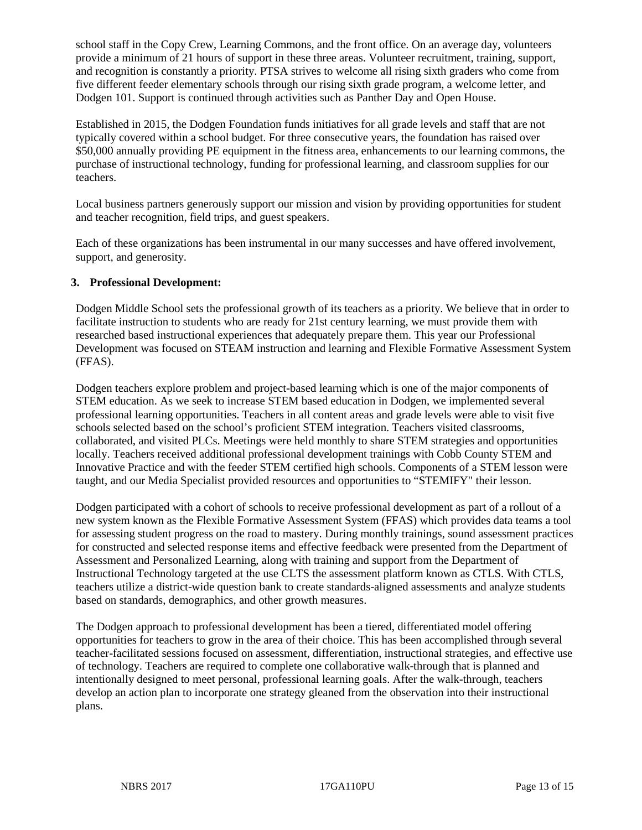school staff in the Copy Crew, Learning Commons, and the front office. On an average day, volunteers provide a minimum of 21 hours of support in these three areas. Volunteer recruitment, training, support, and recognition is constantly a priority. PTSA strives to welcome all rising sixth graders who come from five different feeder elementary schools through our rising sixth grade program, a welcome letter, and Dodgen 101. Support is continued through activities such as Panther Day and Open House.

Established in 2015, the Dodgen Foundation funds initiatives for all grade levels and staff that are not typically covered within a school budget. For three consecutive years, the foundation has raised over \$50,000 annually providing PE equipment in the fitness area, enhancements to our learning commons, the purchase of instructional technology, funding for professional learning, and classroom supplies for our teachers.

Local business partners generously support our mission and vision by providing opportunities for student and teacher recognition, field trips, and guest speakers.

Each of these organizations has been instrumental in our many successes and have offered involvement, support, and generosity.

## **3. Professional Development:**

Dodgen Middle School sets the professional growth of its teachers as a priority. We believe that in order to facilitate instruction to students who are ready for 21st century learning, we must provide them with researched based instructional experiences that adequately prepare them. This year our Professional Development was focused on STEAM instruction and learning and Flexible Formative Assessment System (FFAS).

Dodgen teachers explore problem and project-based learning which is one of the major components of STEM education. As we seek to increase STEM based education in Dodgen, we implemented several professional learning opportunities. Teachers in all content areas and grade levels were able to visit five schools selected based on the school's proficient STEM integration. Teachers visited classrooms, collaborated, and visited PLCs. Meetings were held monthly to share STEM strategies and opportunities locally. Teachers received additional professional development trainings with Cobb County STEM and Innovative Practice and with the feeder STEM certified high schools. Components of a STEM lesson were taught, and our Media Specialist provided resources and opportunities to "STEMIFY" their lesson.

Dodgen participated with a cohort of schools to receive professional development as part of a rollout of a new system known as the Flexible Formative Assessment System (FFAS) which provides data teams a tool for assessing student progress on the road to mastery. During monthly trainings, sound assessment practices for constructed and selected response items and effective feedback were presented from the Department of Assessment and Personalized Learning, along with training and support from the Department of Instructional Technology targeted at the use CLTS the assessment platform known as CTLS. With CTLS, teachers utilize a district-wide question bank to create standards-aligned assessments and analyze students based on standards, demographics, and other growth measures.

The Dodgen approach to professional development has been a tiered, differentiated model offering opportunities for teachers to grow in the area of their choice. This has been accomplished through several teacher-facilitated sessions focused on assessment, differentiation, instructional strategies, and effective use of technology. Teachers are required to complete one collaborative walk-through that is planned and intentionally designed to meet personal, professional learning goals. After the walk-through, teachers develop an action plan to incorporate one strategy gleaned from the observation into their instructional plans.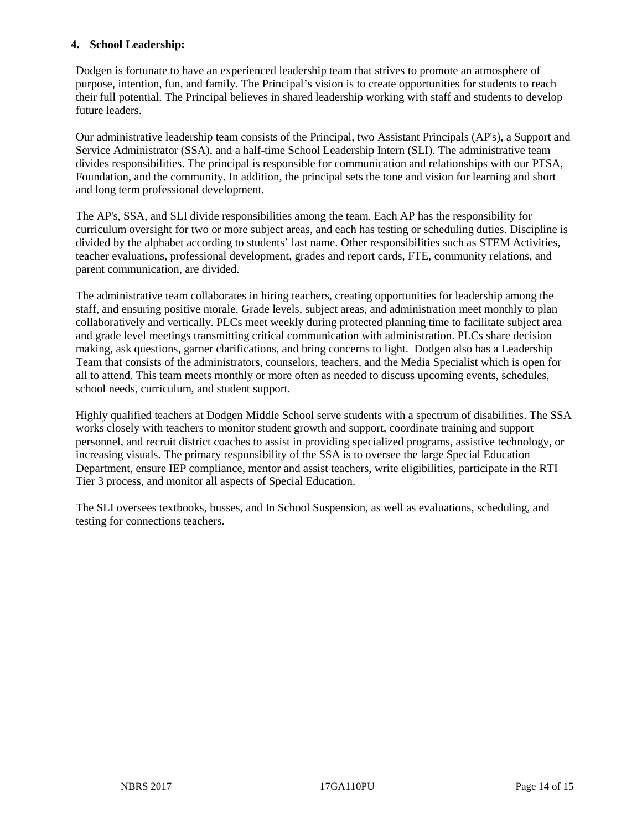## **4. School Leadership:**

Dodgen is fortunate to have an experienced leadership team that strives to promote an atmosphere of purpose, intention, fun, and family. The Principal's vision is to create opportunities for students to reach their full potential. The Principal believes in shared leadership working with staff and students to develop future leaders.

Our administrative leadership team consists of the Principal, two Assistant Principals (AP's), a Support and Service Administrator (SSA), and a half-time School Leadership Intern (SLI). The administrative team divides responsibilities. The principal is responsible for communication and relationships with our PTSA, Foundation, and the community. In addition, the principal sets the tone and vision for learning and short and long term professional development.

The AP's, SSA, and SLI divide responsibilities among the team. Each AP has the responsibility for curriculum oversight for two or more subject areas, and each has testing or scheduling duties. Discipline is divided by the alphabet according to students' last name. Other responsibilities such as STEM Activities, teacher evaluations, professional development, grades and report cards, FTE, community relations, and parent communication, are divided.

The administrative team collaborates in hiring teachers, creating opportunities for leadership among the staff, and ensuring positive morale. Grade levels, subject areas, and administration meet monthly to plan collaboratively and vertically. PLCs meet weekly during protected planning time to facilitate subject area and grade level meetings transmitting critical communication with administration. PLCs share decision making, ask questions, garner clarifications, and bring concerns to light. Dodgen also has a Leadership Team that consists of the administrators, counselors, teachers, and the Media Specialist which is open for all to attend. This team meets monthly or more often as needed to discuss upcoming events, schedules, school needs, curriculum, and student support.

Highly qualified teachers at Dodgen Middle School serve students with a spectrum of disabilities. The SSA works closely with teachers to monitor student growth and support, coordinate training and support personnel, and recruit district coaches to assist in providing specialized programs, assistive technology, or increasing visuals. The primary responsibility of the SSA is to oversee the large Special Education Department, ensure IEP compliance, mentor and assist teachers, write eligibilities, participate in the RTI Tier 3 process, and monitor all aspects of Special Education.

The SLI oversees textbooks, busses, and In School Suspension, as well as evaluations, scheduling, and testing for connections teachers.